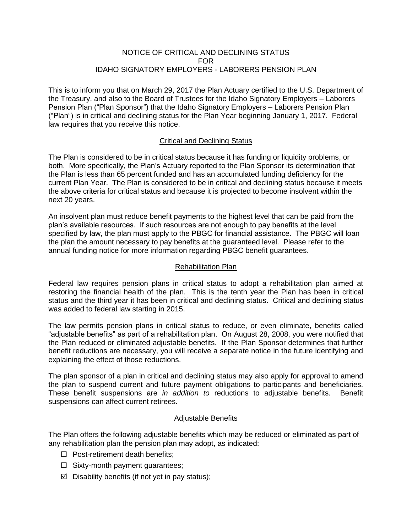### NOTICE OF CRITICAL AND DECLINING STATUS FOR IDAHO SIGNATORY EMPLOYERS - LABORERS PENSION PLAN

This is to inform you that on March 29, 2017 the Plan Actuary certified to the U.S. Department of the Treasury, and also to the Board of Trustees for the Idaho Signatory Employers – Laborers Pension Plan ("Plan Sponsor") that the Idaho Signatory Employers – Laborers Pension Plan ("Plan") is in critical and declining status for the Plan Year beginning January 1, 2017. Federal law requires that you receive this notice.

# Critical and Declining Status

The Plan is considered to be in critical status because it has funding or liquidity problems, or both. More specifically, the Plan's Actuary reported to the Plan Sponsor its determination that the Plan is less than 65 percent funded and has an accumulated funding deficiency for the current Plan Year. The Plan is considered to be in critical and declining status because it meets the above criteria for critical status and because it is projected to become insolvent within the next 20 years.

An insolvent plan must reduce benefit payments to the highest level that can be paid from the plan's available resources. If such resources are not enough to pay benefits at the level specified by law, the plan must apply to the PBGC for financial assistance. The PBGC will loan the plan the amount necessary to pay benefits at the guaranteed level. Please refer to the annual funding notice for more information regarding PBGC benefit guarantees.

# Rehabilitation Plan

Federal law requires pension plans in critical status to adopt a rehabilitation plan aimed at restoring the financial health of the plan. This is the tenth year the Plan has been in critical status and the third year it has been in critical and declining status. Critical and declining status was added to federal law starting in 2015.

The law permits pension plans in critical status to reduce, or even eliminate, benefits called "adjustable benefits" as part of a rehabilitation plan. On August 28, 2008, you were notified that the Plan reduced or eliminated adjustable benefits. If the Plan Sponsor determines that further benefit reductions are necessary, you will receive a separate notice in the future identifying and explaining the effect of those reductions.

The plan sponsor of a plan in critical and declining status may also apply for approval to amend the plan to suspend current and future payment obligations to participants and beneficiaries. These benefit suspensions are *in addition to* reductions to adjustable benefits. Benefit suspensions can affect current retirees.

# Adjustable Benefits

The Plan offers the following adjustable benefits which may be reduced or eliminated as part of any rehabilitation plan the pension plan may adopt, as indicated:

- $\Box$  Post-retirement death benefits;
- $\Box$  Sixty-month payment guarantees;
- $\boxtimes$  Disability benefits (if not yet in pay status);